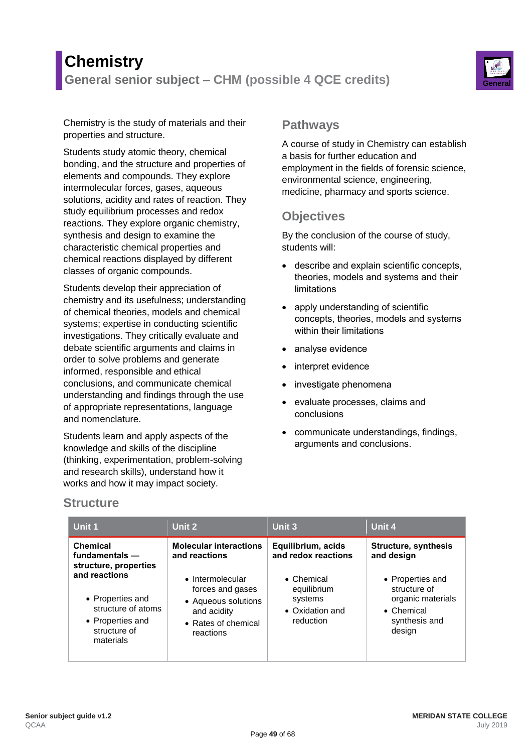# **Chemistry General senior subject – CHM (possible 4 QCE credits) General**



Chemistry is the study of materials and their properties and structure.

Students study atomic theory, chemical bonding, and the structure and properties of elements and compounds. They explore intermolecular forces, gases, aqueous solutions, acidity and rates of reaction. They study equilibrium processes and redox reactions. They explore organic chemistry, synthesis and design to examine the characteristic chemical properties and chemical reactions displayed by different classes of organic compounds.

Students develop their appreciation of chemistry and its usefulness; understanding of chemical theories, models and chemical systems; expertise in conducting scientific investigations. They critically evaluate and debate scientific arguments and claims in order to solve problems and generate informed, responsible and ethical conclusions, and communicate chemical understanding and findings through the use of appropriate representations, language and nomenclature.

Students learn and apply aspects of the knowledge and skills of the discipline (thinking, experimentation, problem-solving and research skills), understand how it works and how it may impact society.

## **Pathways**

A course of study in Chemistry can establish a basis for further education and employment in the fields of forensic science, environmental science, engineering, medicine, pharmacy and sports science.

# **Objectives**

By the conclusion of the course of study, students will:

- describe and explain scientific concepts, theories, models and systems and their limitations
- apply understanding of scientific concepts, theories, models and systems within their limitations
- analyse evidence
- interpret evidence
- investigate phenomena
- evaluate processes, claims and conclusions
- communicate understandings, findings, arguments and conclusions.

### **Structure**

| Unit 1                                                                                                   | Unit 2                                                                                                         | Unit 3                                                                       | Unit 4                                                                                                 |
|----------------------------------------------------------------------------------------------------------|----------------------------------------------------------------------------------------------------------------|------------------------------------------------------------------------------|--------------------------------------------------------------------------------------------------------|
| Chemical<br>fundamentals -<br>structure, properties                                                      | <b>Molecular interactions</b><br>and reactions                                                                 | Equilibrium, acids<br>and redox reactions                                    | <b>Structure, synthesis</b><br>and design                                                              |
| and reactions<br>• Properties and<br>structure of atoms<br>• Properties and<br>structure of<br>materials | • Intermolecular<br>forces and gases<br>• Aqueous solutions<br>and acidity<br>• Rates of chemical<br>reactions | $\bullet$ Chemical<br>equilibrium<br>systems<br>• Oxidation and<br>reduction | • Properties and<br>structure of<br>organic materials<br>$\bullet$ Chemical<br>synthesis and<br>design |